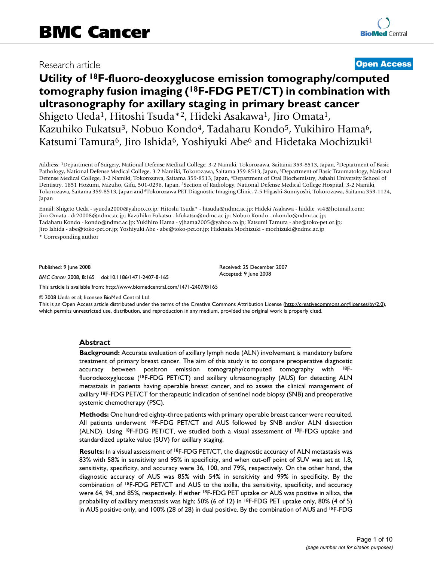# Research article **[Open Access](http://www.biomedcentral.com/info/about/charter/)**

# **Utility of 18F-fluoro-deoxyglucose emission tomography/computed tomography fusion imaging (18F-FDG PET/CT) in combination with ultrasonography for axillary staging in primary breast cancer** Shigeto Ueda1, Hitoshi Tsuda\*2, Hideki Asakawa1, Jiro Omata1, Kazuhiko Fukatsu<sup>3</sup>, Nobuo Kondo<sup>4</sup>, Tadaharu Kondo<sup>5</sup>, Yukihiro Hama<sup>6</sup>, Katsumi Tamura<sup>6</sup>, Jiro Ishida<sup>6</sup>, Yoshiyuki Abe<sup>6</sup> and Hidetaka Mochizuki<sup>1</sup>

Address: 1Department of Surgery, National Defense Medical College, 3-2 Namiki, Tokorozawa, Saitama 359-8513, Japan, 2Department of Basic Pathology, National Defense Medical College, 3-2 Namiki, Tokorozawa, Saitama 359-8513, Japan, 3Department of Basic Traumatology, National Defense Medical College, 3-2 Namiki, Tokorozawa, Saitama 359-8513, Japan, 4Department of Oral Biochemistry, Ashahi University School of Dentistry, 1851 Hozumi, Mizuho, Gifu, 501-0296, Japan, 5Section of Radiology, National Defense Medical College Hospital, 3-2 Namiki, Tokorozawa, Saitama 359-8513, Japan and <sup>6</sup>Tokorozawa PET Diagnostic Imaging Clinic, 7-5 Higashi-Sumiyoshi, Tokorozawa, Saitama 359-1124, Japan

Email: Shigeto Ueda - syueda2000@yahoo.co.jp; Hitoshi Tsuda\* - htsuda@ndmc.ac.jp; Hideki Asakawa - hiddie\_vr4@hotmail.com; Jiro Omata - dr20008@ndmc.ac.jp; Kazuhiko Fukatsu - kfukatsu@ndmc.ac.jp; Nobuo Kondo - nkondo@ndmc.ac.jp; Tadaharu Kondo - kondo@ndmc.ac.jp; Yukihiro Hama - yjhama2005@yahoo.co.jp; Katsumi Tamura - abe@toko-pet.or.jp; Jiro Ishida - abe@toko-pet.or.jp; Yoshiyuki Abe - abe@toko-pet.or.jp; Hidetaka Mochizuki - mochizuki@ndmc.ac.jp

\* Corresponding author

Published: 9 June 2008

*BMC Cancer* 2008, **8**:165 doi:10.1186/1471-2407-8-165

[This article is available from: http://www.biomedcentral.com/1471-2407/8/165](http://www.biomedcentral.com/1471-2407/8/165)

© 2008 Ueda et al; licensee BioMed Central Ltd.

This is an Open Access article distributed under the terms of the Creative Commons Attribution License [\(http://creativecommons.org/licenses/by/2.0\)](http://creativecommons.org/licenses/by/2.0), which permits unrestricted use, distribution, and reproduction in any medium, provided the original work is properly cited.

Received: 25 December 2007 Accepted: 9 June 2008

#### **Abstract**

**Background:** Accurate evaluation of axillary lymph node (ALN) involvement is mandatory before treatment of primary breast cancer. The aim of this study is to compare preoperative diagnostic accuracy between positron emission tomography/computed tomography with 18Ffluorodeoxyglucose (18F-FDG PET/CT) and axillary ultrasonography (AUS) for detecting ALN metastasis in patients having operable breast cancer, and to assess the clinical management of axillary <sup>18</sup>F-FDG PET/CT for therapeutic indication of sentinel node biopsy (SNB) and preoperative systemic chemotherapy (PSC).

**Methods:** One hundred eighty-three patients with primary operable breast cancer were recruited. All patients underwent 18F-FDG PET/CT and AUS followed by SNB and/or ALN dissection (ALND). Using  ${}^{18}F$ -FDG PET/CT, we studied both a visual assessment of  ${}^{18}F$ -FDG uptake and standardized uptake value (SUV) for axillary staging.

**Results:** In a visual assessment of 18F-FDG PET/CT, the diagnostic accuracy of ALN metastasis was 83% with 58% in sensitivity and 95% in specificity, and when cut-off point of SUV was set at 1.8, sensitivity, specificity, and accuracy were 36, 100, and 79%, respectively. On the other hand, the diagnostic accuracy of AUS was 85% with 54% in sensitivity and 99% in specificity. By the combination of 18F-FDG PET/CT and AUS to the axilla, the sensitivity, specificity, and accuracy were 64, 94, and 85%, respectively. If either <sup>18</sup>F-FDG PET uptake or AUS was positive in allixa, the probability of axillary metastasis was high; 50% (6 of 12) in 18F-FDG PET uptake only, 80% (4 of 5) in AUS positive only, and 100% (28 of 28) in dual positive. By the combination of AUS and 18F-FDG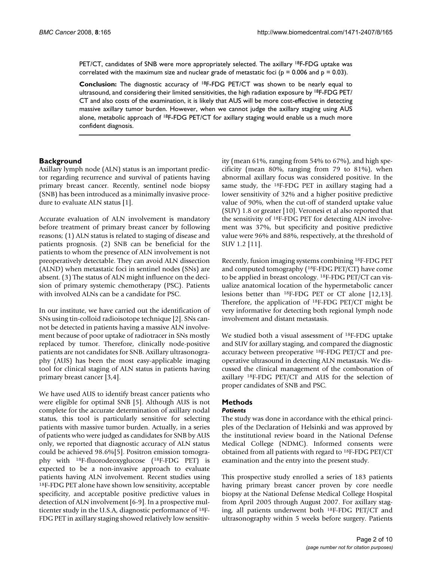PET/CT, candidates of SNB were more appropriately selected. The axillary 18F-FDG uptake was correlated with the maximum size and nuclear grade of metastatic foci ( $p = 0.006$  and  $p = 0.03$ ).

**Conclusion:** The diagnostic accuracy of 18F-FDG PET/CT was shown to be nearly equal to ultrasound, and considering their limited sensitivities, the high radiation exposure by <sup>18</sup>F-FDG PET/ CT and also costs of the examination, it is likely that AUS will be more cost-effective in detecting massive axillary tumor burden. However, when we cannot judge the axillary staging using AUS alone, metabolic approach of <sup>18</sup>F-FDG PET/CT for axillary staging would enable us a much more confident diagnosis.

#### **Background**

Axillary lymph node (ALN) status is an important predictor regarding recurrence and survival of patients having primary breast cancer. Recently, sentinel node biopsy (SNB) has been introduced as a minimally invasive procedure to evaluate ALN status [1].

Accurate evaluation of ALN involvement is mandatory before treatment of primary breast cancer by following reasons; (1) ALN status is related to staging of disease and patients prognosis. (2) SNB can be beneficial for the patients to whom the presence of ALN involvement is not preoperatively detectable. They can avoid ALN dissection (ALND) when metastatic foci in sentinel nodes (SNs) are absent. (3) The status of ALN might influence on the decision of primary systemic chemotherapy (PSC). Patients with involved ALNs can be a candidate for PSC.

In our institute, we have carried out the identification of SNs using tin-colloid radioisotope technique [2]. SNs cannot be detected in patients having a massive ALN involvement because of poor uptake of radiotracer in SNs mostly replaced by tumor. Therefore, clinically node-positive patients are not candidates for SNB. Axillary ultrasonography (AUS) has been the most easy-applicable imaging tool for clinical staging of ALN status in patients having primary breast cancer [3,4].

We have used AUS to identify breast cancer patients who were eligible for optimal SNB [5]. Although AUS is not complete for the accurate determination of axillary nodal status, this tool is particularly sensitive for selecting patients with massive tumor burden. Actually, in a series of patients who were judged as candidates for SNB by AUS only, we reported that diagnostic accuracy of ALN status could be achieved 98.6%[5]. Positron emission tomography with 18F-fluorodeoxyglucose (18F-FDG PET) is expected to be a non-invasive approach to evaluate patients having ALN involvement. Recent studies using 18F-FDG PET alone have shown low sensitivity, acceptable specificity, and acceptable positive predictive values in detection of ALN involvement [6-9]. In a prospective multicenter study in the U.S.A, diagnostic performance of 18F-FDG PET in axillary staging showed relatively low sensitivity (mean 61%, ranging from 54% to 67%), and high specificity (mean 80%, ranging from 79 to 81%), when abnormal axillary focus was considered positive. In the same study, the <sup>18</sup>F-FDG PET in axillary staging had a lower sensitivity of 32% and a higher positive predictive value of 90%, when the cut-off of standerd uptake value (SUV) 1.8 or greater [10]. Veronesi et al also reported that the sensitivity of 18F-FDG PET for detecting ALN involvement was 37%, but specificity and positive predictive value were 96% and 88%, respectively, at the threshold of SUV 1.2 [11].

Recently, fusion imaging systems combining 18F-FDG PET and computed tomography (18F-FDG PET/CT) have come to be applied in breast oncology. 18F-FDG PET/CT can visualize anatomical location of the hypermetabolic cancer lesions better than 18F-FDG PET or CT alone [12,13]. Therefore, the application of 18F-FDG PET/CT might be very informative for detecting both regional lymph node involvement and distant metastasis.

We studied both a visual assessment of <sup>18</sup>F-FDG uptake and SUV for axillary staging, and compared the diagnostic accuracy between preoperative 18F-FDG PET/CT and preoperative ultrasound in detecting ALN metastasis. We discussed the clinical management of the combonation of axillary 18F-FDG PET/CT and AUS for the selection of proper candidates of SNB and PSC.

# **Methods**

#### *Patients*

The study was done in accordance with the ethical principles of the Declaration of Helsinki and was approved by the institutional review board in the National Defense Medical College (NDMC). Informed consents were obtained from all patients with regard to 18F-FDG PET/CT examination and the entry into the present study.

This prospective study enrolled a series of 183 patients having primary breast cancer proven by core needle biopsy at the National Defense Medical College Hospital from April 2005 through August 2007. For axillary staging, all patients underwent both 18F-FDG PET/CT and ultrasonography within 5 weeks before surgery. Patients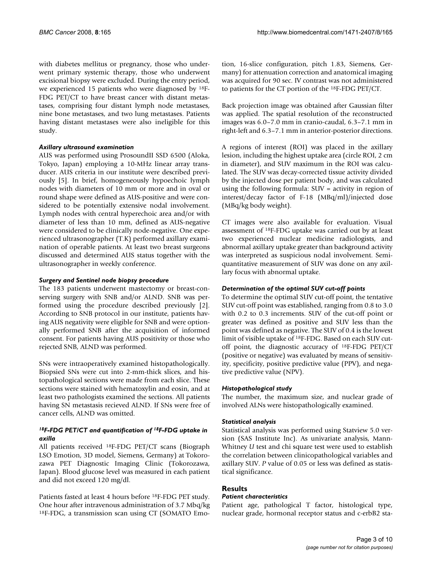with diabetes mellitus or pregnancy, those who underwent primary systemic therapy, those who underwent excisional biopsy were excluded. During the entry period, we experienced 15 patients who were diagnosed by 18F-FDG PET/CT to have breast cancer with distant metastases, comprising four distant lymph node metastases, nine bone metastases, and two lung metastases. Patients having distant metastases were also ineligible for this study.

#### *Axillary ultrasound examination*

AUS was performed using ProsoundII SSD 6500 (Aloka, Tokyo, Japan) employing a 10-MHz linear array transducer. AUS criteria in our institute were described previously [5]. In brief, homogeneously hypoechoic lymph nodes with diameters of 10 mm or more and in oval or round shape were defined as AUS-positive and were considered to be potentially extensive nodal involvement. Lymph nodes with central hyperechoic area and/or with diameter of less than 10 mm, defined as AUS-negative were considered to be clinically node-negative. One experienced ultrasonographer (T.K) performed axillary examination of operable patients. At least two breast surgeons discussed and determined AUS status together with the ultrasonographer in weekly conference.

#### *Surgery and Sentinel node biopsy procedure*

The 183 patients underwent mastectomy or breast-conserving surgery with SNB and/or ALND. SNB was performed using the procedure described previously [2]. According to SNB protocol in our institute, patients having AUS negativity were eligible for SNB and were optionally performed SNB after the acquisition of informed consent. For patients having AUS positivity or those who rejected SNB, ALND was performed.

SNs were intraoperatively examined histopathologically. Biopsied SNs were cut into 2-mm-thick slices, and histopathological sections were made from each slice. These sections were stained with hematoxylin and eosin, and at least two pathologists examined the sections. All patients having SN metastasis recieved ALND. If SNs were free of cancer cells, ALND was omitted.

#### *18F-FDG PET/CT and quantification of 18F-FDG uptake in axilla*

All patients received 18F-FDG PET/CT scans (Biograph LSO Emotion, 3D model, Siemens, Germany) at Tokorozawa PET Diagnostic Imaging Clinic (Tokorozawa, Japan). Blood glucose level was measured in each patient and did not exceed 120 mg/dl.

Patients fasted at least 4 hours before 18F-FDG PET study. One hour after intravenous administration of 3.7 Mbq/kg 18F-FDG, a transmission scan using CT (SOMATO Emotion, 16-slice configuration, pitch 1.83, Siemens, Germany) for attenuation correction and anatomical imaging was acquired for 90 sec. IV contrast was not administered to patients for the CT portion of the 18F-FDG PET/CT.

Back projection image was obtained after Gaussian filter was applied. The spatial resolution of the reconstructed images was 6.0–7.0 mm in cranio-caudal, 6.3–7.1 mm in right-left and 6.3–7.1 mm in anterior-posterior directions.

A regions of interest (ROI) was placed in the axillary lesion, including the highest uptake area (circle ROI, 2 cm in diameter), and SUV maximum in the ROI was calculated. The SUV was decay-corrected tissue activity divided by the injected dose per patient body, and was calculated using the following formula: SUV = activity in region of interest/decay factor of F-18 (MBq/ml)/injected dose (MBq/kg body weight).

CT images were also available for evaluation. Visual assessment of 18F-FDG uptake was carried out by at least two experienced nuclear medicine radiologists, and abnormal axillary uptake greater than background activity was interpreted as suspicious nodal involvement. Semiquantitative measurement of SUV was done on any axillary focus with abnormal uptake.

#### *Determination of the optimal SUV cut-off points*

To determine the optimal SUV cut-off point, the tentative SUV cut-off point was established, ranging from 0.8 to 3.0 with 0.2 to 0.3 increments. SUV of the cut-off point or greater was defined as positive and SUV less than the point was defined as negative. The SUV of 0.4 is the lowest limit of visible uptake of 18F-FDG. Based on each SUV cutoff point, the diagnostic accuracy of 18F-FDG PET/CT (positive or negative) was evaluated by means of sensitivity, specificity, positive predictive value (PPV), and negative predictive value (NPV).

#### *Histopathological study*

The number, the maximum size, and nuclear grade of involved ALNs were histopathologically examined.

#### *Statistical analysis*

Statistical analysis was performed using Statview 5.0 version (SAS Institute Inc). As univariate analysis, Mann-Whitney *U* test and chi square test were used to establish the correlation between clinicopathological variables and axillary SUV. *P* value of 0.05 or less was defined as statistical significance.

#### **Results**

#### *Patient characteristics*

Patient age, pathological T factor, histological type, nuclear grade, hormonal receptor status and c-erbB2 sta-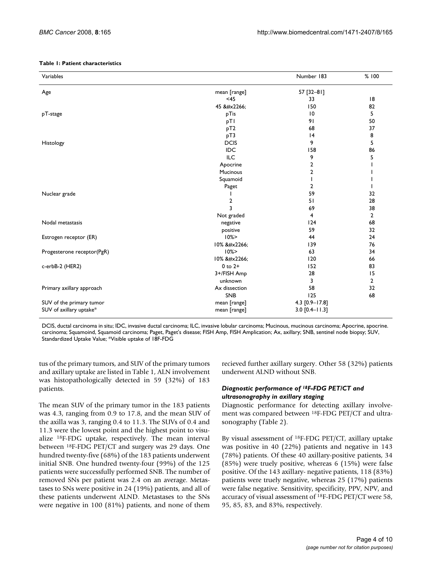#### **Table 1: Patient characteristics**

| Variables                  |                 | Number 183       | %100           |
|----------------------------|-----------------|------------------|----------------|
| Age                        | mean [range]    | 57 [32-81]       |                |
|                            | <45             | 33               | 8              |
|                            | 45 ≦            | 150              | 82             |
| pT-stage                   | pTis            | $\overline{10}$  | 5              |
|                            | pTI             | 91               | 50             |
|                            | pT2             | 68               | 37             |
|                            | pT3             | 4                | 8              |
| Histology                  | <b>DCIS</b>     | 9                | 5              |
|                            | <b>IDC</b>      | 158              | 86             |
|                            | <b>ILC</b>      | 9                | 5              |
|                            | Apocrine        | 2                | J.             |
|                            | <b>Mucinous</b> | 2                |                |
|                            | Squamoid        |                  |                |
|                            | Paget           | 2                |                |
| Nuclear grade              |                 | 59               | 32             |
|                            | 2               | 51               | 28             |
|                            | 3               | 69               | 38             |
|                            | Not graded      | 4                | $\overline{2}$ |
| Nodal metastasis           | negative        | 124              | 68             |
|                            | positive        | 59               | 32             |
| Estrogen receptor (ER)     | 10%             | 44               | 24             |
|                            | 10% ≦           | 139              | 76             |
| Progesterone receptor(PgR) | 10%             | 63               | 34             |
|                            | 10% ≦           | 120              | 66             |
| c-erbB-2 (HER2)            | $0$ to $2+$     | 152              | 83             |
|                            | 3+/FISH Amp     | 28               | 15             |
|                            | unknown         | 3                | $\overline{2}$ |
| Primary axillary approach  | Ax dissection   | 58               | 32             |
|                            | SNB             | 125              | 68             |
| SUV of the primary tumor   | mean [range]    | 4.3 [0.9-17.8]   |                |
| SUV of axillary uptake*    | mean [range]    | $3.0$ [0.4-11.3] |                |

DCIS, ductal carcinoma in situ; IDC, invasive ductal carcinoma; ILC, invasive lobular carcinoma; Mucinous, mucinous carcinoma; Apocrine, apocrine. carcinoma; Squamoind, Squamoid carcinoma; Paget, Paget's disease; FISH Amp, FISH Amplication; Ax, axillary; SNB, sentinel node biopsy; SUV, Standardized Uptake Value; \*Visible uptake of 18F-FDG

tus of the primary tumors, and SUV of the primary tumors and axillary uptake are listed in Table 1, ALN involvement was histopathologically detected in 59 (32%) of 183 patients.

The mean SUV of the primary tumor in the 183 patients was 4.3, ranging from 0.9 to 17.8, and the mean SUV of the axilla was 3, ranging 0.4 to 11.3. The SUVs of 0.4 and 11.3 were the lowest point and the highest point to visualize 18F-FDG uptake, respectively. The mean interval between 18F-FDG PET/CT and surgery was 29 days. One hundred twenty-five (68%) of the 183 patients underwent initial SNB. One hundred twenty-four (99%) of the 125 patients were successfully performed SNB. The number of removed SNs per patient was 2.4 on an average. Metastases to SNs were positive in 24 (19%) patients, and all of these patients underwent ALND. Metastases to the SNs were negative in 100 (81%) patients, and none of them

recieved further axillary surgery. Other 58 (32%) patients underwent ALND without SNB.

#### *Diagnostic performance of 18F-FDG PET/CT and ultrasonography in axillary staging*

Diagnostic performance for detecting axillary involvement was compared between 18F-FDG PET/CT and ultrasonography (Table 2).

By visual assessment of 18F-FDG PET/CT, axillary uptake was positive in 40 (22%) patients and negative in 143 (78%) patients. Of these 40 axillary-positive patients, 34 (85%) were truely positive, whereas 6 (15%) were false positive. Of the 143 axillary- negative patients, 118 (83%) patients were truely negative, whereas 25 (17%) patients were false negative. Sensitivity, specificity, PPV, NPV, and accuracy of visual assessment of 18F-FDG PET/CT were 58, 95, 85, 83, and 83%, respectively.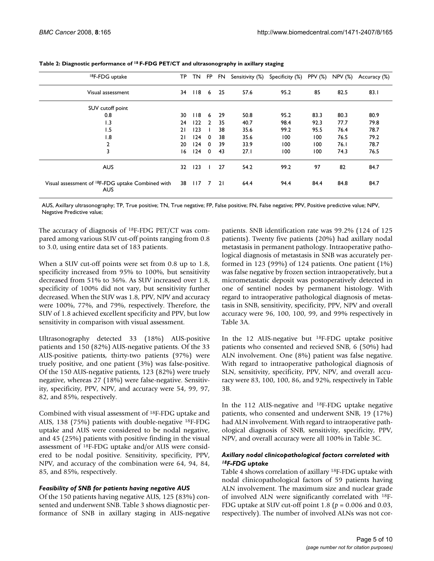| <sup>18</sup> F-FDG uptake                                                  | ТP | TN.              | FP.            | FN.  | Sensitivity (%) | Specificity (%) | <b>PPV</b> (%) | NPV (%) | Accuracy (%) |
|-----------------------------------------------------------------------------|----|------------------|----------------|------|-----------------|-----------------|----------------|---------|--------------|
| Visual assessment                                                           | 34 | 118 <sub>6</sub> |                | - 25 | 57.6            | 95.2            | 85             | 82.5    | 83.1         |
| SUV cutoff point                                                            |    |                  |                |      |                 |                 |                |         |              |
| 0.8                                                                         | 30 | 18               | 6              | 29   | 50.8            | 95.2            | 83.3           | 80.3    | 80.9         |
| 1.3                                                                         | 24 | 122              | $\overline{2}$ | 35   | 40.7            | 98.4            | 92.3           | 77.7    | 79.8         |
| 1.5                                                                         | 21 | 123              |                | 38   | 35.6            | 99.2            | 95.5           | 76.4    | 78.7         |
| 1.8                                                                         | 21 | 124              | $\mathbf 0$    | 38   | 35.6            | 100             | 100            | 76.5    | 79.2         |
| 2                                                                           | 20 | 124              | $\mathbf 0$    | 39   | 33.9            | 100             | 100            | 76.1    | 78.7         |
| 3                                                                           | 16 | 124              | $\mathbf 0$    | 43   | 27.1            | 100             | 100            | 74.3    | 76.5         |
| <b>AUS</b>                                                                  | 32 | 123              |                | 27   | 54.2            | 99.2            | 97             | 82      | 84.7         |
| Visual assessment of <sup>18</sup> F-FDG uptake Combined with<br><b>AUS</b> | 38 | 117              | 7              | 21   | 64.4            | 94.4            | 84.4           | 84.8    | 84.7         |

**Table 2: Diagnostic performance of 18 F-FDG PET/CT and ultrasonography in axillary staging**

AUS, Axillary ultrasonography; TP, True positive; TN, True negative; FP, False positive; FN, False negative; PPV, Positive predictive value; NPV, Negative Predictive value;

The accuracy of diagnosis of 18F-FDG PET/CT was compared among various SUV cut-off points ranging from 0.8 to 3.0, using entire data set of 183 patients.

When a SUV cut-off points were set from 0.8 up to 1.8, specificity increased from 95% to 100%, but sensitivity decreased from 51% to 36%. As SUV increased over 1.8, specificity of 100% did not vary, but sensitivity further decreased. When the SUV was 1.8, PPV, NPV and accuracy were 100%, 77%, and 79%, respectively. Therefore, the SUV of 1.8 achieved excellent specificity and PPV, but low sensitivity in comparison with visual assessment.

Ultrasonography detected 33 (18%) AUS-positive patients and 150 (82%) AUS-negative patients. Of the 33 AUS-positive patients, thirty-two patients (97%) were truely positive, and one patient (3%) was false-positive. Of the 150 AUS-negative patients, 123 (82%) were truely negative, whereas 27 (18%) were false-negative. Sensitivity, specificity, PPV, NPV, and accuracy were 54, 99, 97, 82, and 85%, respectively.

Combined with visual assessment of 18F-FDG uptake and AUS, 138 (75%) patients with double-negative 18F-FDG uptake and AUS were considered to be nodal negative, and 45 (25%) patients with positive finding in the visual assessment of 18F-FDG uptake and/or AUS were considered to be nodal positive. Sensitivity, specificity, PPV, NPV, and accuracy of the combination were 64, 94, 84, 85, and 85%, respectively.

#### *Feasibility of SNB for patients having negative AUS*

Of the 150 patients having negative AUS, 125 (83%) consented and underwent SNB. Table 3 shows diagnostic performance of SNB in axillary staging in AUS-negative patients. SNB identification rate was 99.2% (124 of 125 patients). Twenty five patients (20%) had axillary nodal metastasis in permanent pathology. Intraoperative pathological diagnosis of metastasis in SNB was accurately performed in 123 (99%) of 124 patients. One patient (1%) was false negative by frozen section intraoperatively, but a micrometastatic deposit was postoperatively detected in one of sentinel nodes by permanent histology. With regard to intraoperative pathological diagnosis of metastasis in SNB, sensitivity, specificity, PPV, NPV and overall accuracy were 96, 100, 100, 99, and 99% respectively in Table 3A.

In the 12 AUS-negative but 18F-FDG uptake positive patients who consented and recieved SNB, 6 (50%) had ALN involvement. One (8%) patient was false negative. With regard to intraoperative pathological diagnosis of SLN, sensitivity, specificity, PPV, NPV, and overall accuracy were 83, 100, 100, 86, and 92%, respectively in Table 3B.

In the 112 AUS-negative and 18F-FDG uptake negative patients, who consented and underwent SNB, 19 (17%) had ALN involvement. With regard to intraoperative pathological diagnosis of SNB, sensitivity, specificity, PPV, NPV, and overall accuracy were all 100% in Table 3C.

#### *Axillary nodal clinicopathological factors correlated with 18F-FDG uptake*

Table 4 shows correlation of axillary 18F-FDG uptake with nodal clinicopathological factors of 59 patients having ALN involvement. The maximum size and nuclear grade of involved ALN were significantly correlated with 18F-FDG uptake at SUV cut-off point 1.8 (*p* = 0.006 and 0.03, respectively). The number of involved ALNs was not cor-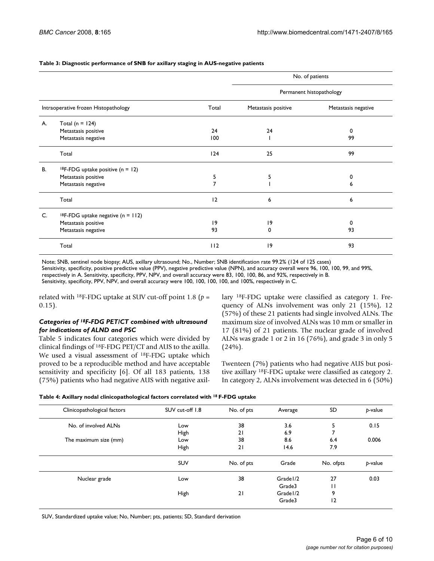|  | Table 3: Diagnostic performance of SNB for axillary staging in AUS-negative patients |
|--|--------------------------------------------------------------------------------------|
|--|--------------------------------------------------------------------------------------|

|    |                                                  |                |                     | No. of patients          |  |
|----|--------------------------------------------------|----------------|---------------------|--------------------------|--|
|    |                                                  |                |                     | Permanent histopathology |  |
|    | Intraoperative frozen Histopathology             | Total          | Metastasis positive | Metastasis negative      |  |
| А. | Total ( $n = 124$ )                              |                |                     |                          |  |
|    | Metastasis positive                              | 24             | 24                  | 0                        |  |
|    | Metastasis negative                              | 100            |                     | 99                       |  |
|    | Total                                            | 124            | 25                  | 99                       |  |
| В. | <sup>18</sup> F-FDG uptake positive ( $n = 12$ ) |                |                     |                          |  |
|    | Metastasis positive                              | 5              | 5                   | 0                        |  |
|    | Metastasis negative                              | $\overline{7}$ |                     | 6                        |  |
|    | Total                                            | 12             | 6                   | 6                        |  |
| C. | <sup>18</sup> F-FDG uptake negative $(n = 112)$  |                |                     |                          |  |
|    | Metastasis positive                              | 19             | 19                  | 0                        |  |
|    | Metastasis negative                              | 93             | 0                   | 93                       |  |
|    | Total                                            | 112            | 9                   | 93                       |  |

Note; SNB, sentinel node biopsy; AUS, axillary ultrasound; No., Number; SNB identification rate 99.2% (124 of 125 cases) Sensitivity, specificity, positive predictive value (PPV), negative predictive value (NPN), and accuracy overall were 96, 100, 100, 99, and 99%, respectively in A. Sensitivity, specificity, PPV, NPV, and overall accuracy were 83, 100, 100, 86, and 92%, respectively in B. Sensitivity, specificity, PPV, NPV, and overall accuracy were 100, 100, 100, 100, and 100%, respectively in C.

related with <sup>18</sup>F-FDG uptake at SUV cut-off point 1.8 ( $p =$ 0.15).

#### *Categories of 18F-FDG PET/CT combined with ultrasound for indications of ALND and PSC*

Table 5 indicates four categories which were divided by clinical findings of 18F-FDG PET/CT and AUS to the axilla. We used a visual assessment of <sup>18</sup>F-FDG uptake which proved to be a reproducible method and have acceptable sensitivity and specificity [6]. Of all 183 patients, 138 (75%) patients who had negative AUS with negative axillary 18F-FDG uptake were classified as category 1. Frequency of ALNs involvement was only 21 (15%), 12 (57%) of these 21 patients had single involved ALNs. The maximum size of involved ALNs was 10 mm or smaller in 17 (81%) of 21 patients. The nuclear grade of involved ALNs was grade 1 or 2 in 16 (76%), and grade 3 in only 5  $(24%)$ .

Twenteen (7%) patients who had negative AUS but positive axillary 18F-FDG uptake were classified as category 2. In category 2, ALNs involvement was detected in 6 (50%)

|  | Table 4: Axillary nodal clinicopathological factors correlated with <sup>18</sup> F-FDG uptake |  |
|--|------------------------------------------------------------------------------------------------|--|
|  |                                                                                                |  |

| Clinicopathological factors | SUV cut-off 1.8 | No. of pts | Average   | SD        | p-value |
|-----------------------------|-----------------|------------|-----------|-----------|---------|
| No. of involved ALNs        | Low             | 38         | 3.6       | 5         | 0.15    |
|                             | High            | 21         | 6.9       | 7         |         |
| The maximum size (mm)       | Low             | 38         | 8.6       | 6.4       | 0.006   |
|                             | High            | 21         | 14.6      | 7.9       |         |
|                             | <b>SUV</b>      | No. of pts | Grade     | No. ofpts | p-value |
| Nuclear grade               | Low             | 38         | Grade I/2 | 27        | 0.03    |
|                             |                 |            | Grade3    | П         |         |
|                             | High            | 21         | Grade I/2 | 9         |         |
|                             |                 |            | Grade3    | 2         |         |

SUV, Standardized uptake value; No, Number; pts, patients; SD, Standard derivation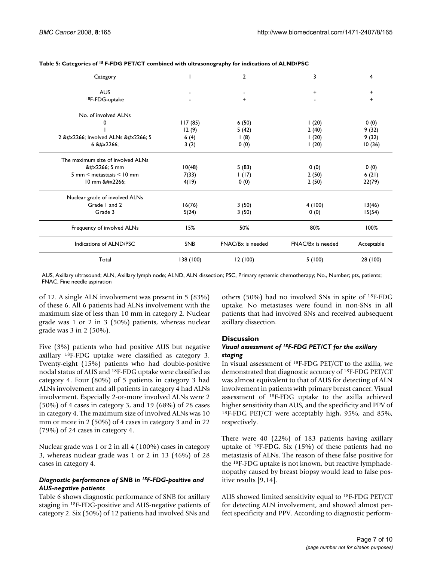| Category                          |            | $\overline{2}$    | 3                 | 4          |
|-----------------------------------|------------|-------------------|-------------------|------------|
| <b>AUS</b>                        |            |                   | $\ddot{}$         | +          |
| <sup>18</sup> F-FDG-uptake        |            | +                 |                   | +          |
| No. of involved ALNs              |            |                   |                   |            |
| 0                                 | 117(85)    | 6(50)             | (20)              | 0(0)       |
|                                   | 12(9)      | 5(42)             | 2(40)             | 9(32)      |
| 2 ≦ Involved ALNs ≦ 5             | 6(4)       | $\vert$ (8)       | (20)              | 9(32)      |
| 6 ≦                               | 3(2)       | 0(0)              | (20)              | 10(36)     |
| The maximum size of involved ALNs |            |                   |                   |            |
| ≦ 5 mm                            | 10(48)     | 5(83)             | 0(0)              | 0(0)       |
| 5 mm < metastasis < 10 mm         | 7(33)      | 1(17)             | 2(50)             | 6(21)      |
| 10 mm ≦                           | 4(19)      | 0(0)              | 2(50)             | 22(79)     |
| Nuclear grade of involved ALNs    |            |                   |                   |            |
| Grade 1 and 2                     | 16(76)     | 3(50)             | 4(100)            | 13(46)     |
| Grade 3                           | 5(24)      | 3(50)             | 0(0)              | 15(54)     |
| Frequency of involved ALNs        | 15%        | 50%               | 80%               | 100%       |
| Indications of ALND/PSC           | <b>SNB</b> | FNAC/Bx is needed | FNAC/Bx is needed | Acceptable |
| Total                             | 138 (100)  | 12(100)           | 5(100)            | 28 (100)   |

#### **Table 5: Categories of 18 F-FDG PET/CT combined with ultrasonography for indications of ALND/PSC**

AUS, Axillary ultrasound; ALN, Axillary lymph node; ALND, ALN dissection; PSC, Primary systemic chemotherapy; No., Number; pts, patients; FNAC, Fine needle aspiration

of 12. A single ALN involvement was present in 5 (83%) of these 6. All 6 patients had ALNs involvement with the maximum size of less than 10 mm in category 2. Nuclear grade was 1 or 2 in 3 (50%) patients, whereas nuclear grade was 3 in 2 (50%).

Five (3%) patients who had positive AUS but negative axillary 18F-FDG uptake were classified as category 3. Twenty-eight (15%) patients who had double-positive nodal status of AUS and 18F-FDG uptake were classified as category 4. Four (80%) of 5 patients in category 3 had ALNs involvement and all patients in category 4 had ALNs involvement. Especially 2-or-more involved ALNs were 2 (50%) of 4 cases in category 3, and 19 (68%) of 28 cases in category 4. The maximum size of involved ALNs was 10 mm or more in 2 (50%) of 4 cases in category 3 and in 22 (79%) of 24 cases in category 4.

Nuclear grade was 1 or 2 in all 4 (100%) cases in category 3, whereas nuclear grade was 1 or 2 in 13 (46%) of 28 cases in category 4.

#### *Diagnostic performance of SNB in 18F-FDG-positive and AUS-negative patients*

Table 6 shows diagnostic performance of SNB for axillary staging in 18F-FDG-positive and AUS-negative patients of category 2. Six (50%) of 12 patients had involved SNs and others (50%) had no involved SNs in spite of 18F-FDG uptake. No metastases were found in non-SNs in all patients that had involved SNs and received aubsequent axillary dissection.

#### **Discussion**

#### *Visual assessment of 18F-FDG PET/CT for the axillary staging*

In visual assessment of 18F-FDG PET/CT to the axilla, we demonstrated that diagnostic accuracy of 18F-FDG PET/CT was almost equivalent to that of AUS for detecting of ALN involvement in patients with primary breast cancer. Visual assessment of 18F-FDG uptake to the axilla achieved higher sensitivity than AUS, and the specificity and PPV of 18F-FDG PET/CT were acceptably high, 95%, and 85%, respectively.

There were 40 (22%) of 183 patients having axillary uptake of 18F-FDG. Six (15%) of these patients had no metastasis of ALNs. The reason of these false positive for the 18F-FDG uptake is not known, but reactive lymphadenopathy caused by breast biopsy would lead to false positive results [9,14].

AUS showed limited sensitivity equal to 18F-FDG PET/CT for detecting ALN involvement, and showed almost perfect specificity and PPV. According to diagnostic perform-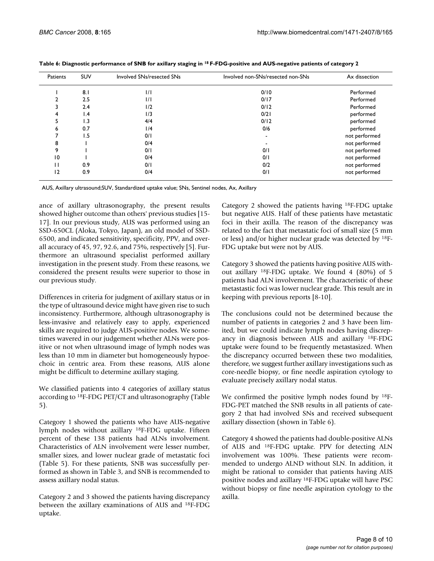| Patients       | <b>SUV</b>      | Involved SNs/resected SNs | Involved non-SNs/resected non-SNs | Ax dissection |
|----------------|-----------------|---------------------------|-----------------------------------|---------------|
|                | 8.1             | 1/1                       | 0/10                              | Performed     |
|                | 2.5             | 1/1                       | 0/17                              | Performed     |
|                | 2.4             | 1/2                       | 0/12                              | Performed     |
| 4              | $\mathsf{I}$ .4 | 1/3                       | 0/21                              | performed     |
| 5              | 1.3             | 4/4                       | 0/12                              | performed     |
| 6              | 0.7             | 1/4                       | 0/6                               | performed     |
|                | ۱.5             | 0/1                       |                                   | not performed |
| 8              |                 | 0/4                       |                                   | not performed |
| 9              |                 | 0/1                       | 0/1                               | not performed |
| 10             |                 | 0/4                       | 0/1                               | not performed |
| П              | 0.9             | 0/1                       | 0/2                               | not performed |
| $\overline{2}$ | 0.9             | 0/4                       | 0/1                               | not performed |

**Table 6: Diagnostic performance of SNB for axillary staging in 18 F-FDG-positive and AUS-negative patients of category 2**

AUS, Axillary ultrasound;SUV, Standardized uptake value; SNs, Sentinel nodes, Ax, Axillary

ance of axillary ultrasonography, the present results showed higher outcome than others' previous studies [15- 17]. In our previous study, AUS was performed using an SSD-650CL (Aloka, Tokyo, Japan), an old model of SSD-6500, and indicated sensitivity, specificity, PPV, and overall accuracy of 45, 97, 92.6, and 75%, respectively [5]. Furthermore an ultrasound specialist performed axillary investigation in the present study. From these reasons, we considered the present results were superior to those in our previous study.

Differences in criteria for judgment of axillary status or in the type of ultrasound device might have given rise to such inconsistency. Furthermore, although ultrasonography is less-invasive and relatively easy to apply, experienced skills are required to judge AUS-positive nodes. We sometimes wavered in our judgement whether ALNs were positive or not when ultrasound image of lymph nodes was less than 10 mm in diameter but homogeneously hypoechoic in centric area. From these reasons, AUS alone might be difficult to determine axillary staging.

We classified patients into 4 categories of axillary status according to 18F-FDG PET/CT and ultrasonography (Table 5).

Category 1 showed the patients who have AUS-negative lymph nodes without axillary 18F-FDG uptake. Fifteen percent of these 138 patients had ALNs involvement. Characteristics of ALN involvement were lesser number, smaller sizes, and lower nuclear grade of metastatic foci (Table 5). For these patients, SNB was successfully performed as shown in Table 3, and SNB is recommended to assess axillary nodal status.

Category 2 and 3 showed the patients having discrepancy between the axillary examinations of AUS and 18F-FDG uptake.

Category 2 showed the patients having 18F-FDG uptake but negative AUS. Half of these patients have metastatic foci in their axilla. The reason of the discrepancy was related to the fact that metastatic foci of small size (5 mm or less) and/or higher nuclear grade was detected by 18F-FDG uptake but were not by AUS.

Category 3 showed the patients having positive AUS without axillary 18F-FDG uptake. We found 4 (80%) of 5 patients had ALN involvement. The characteristic of these metastastic foci was lower nuclear grade. This result are in keeping with previous reports [8-10].

The conclusions could not be determined because the number of patients in categories 2 and 3 have been limited, but we could indicate lymph nodes having discrepancy in diagnosis between AUS and axillary 18F-FDG uptake were found to be frequently metastasized. When the discrepancy occurred between these two modalities, therefore, we suggest further axillary investigations such as core-needle biopsy, or fine needle aspiration cytology to evaluate precisely axillary nodal status.

We confirmed the positive lymph nodes found by 18F-FDG-PET matched the SNB results in all patients of category 2 that had involved SNs and received subsequent axillary dissection (shown in Table 6).

Category 4 showed the patients had double-positive ALNs of AUS and 18F-FDG uptake. PPV for detecting ALN involvement was 100%. These patients were recommended to undergo ALND without SLN. In addition, it might be rational to consider that patients having AUS positive nodes and axillary 18F-FDG uptake will have PSC without biopsy or fine needle aspiration cytology to the axilla.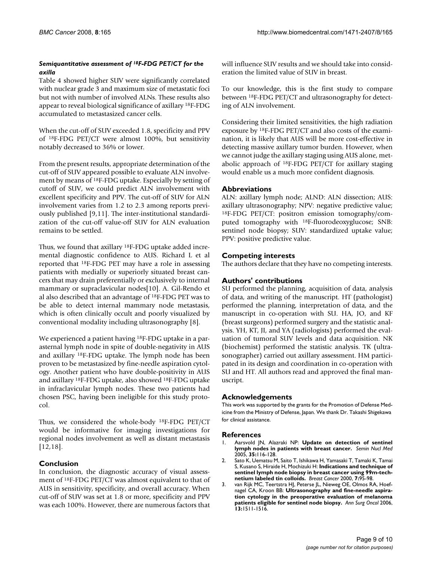#### *Semiquantitative assessment of 18F-FDG PET/CT for the axilla*

Table 4 showed higher SUV were significantly correlated with nuclear grade 3 and maximum size of metastatic foci but not with number of involved ALNs. These results also appear to reveal biological significance of axillary 18F-FDG accumulated to metastasized cancer cells.

When the cut-off of SUV exceeded 1.8, specificity and PPV of 18F-FDG PET/CT were almost 100%, but sensitivity notably decreased to 36% or lower.

From the present results, appropriate determination of the cut-off of SUV appeared possible to evaluate ALN involvement by means of 18F-FDG uptake. Especially by setting of cutoff of SUV, we could predict ALN involvement with excellent specificity and PPV. The cut-off of SUV for ALN involvement varies from 1.2 to 2.3 among reports previously published [9,11]. The inter-institutional standardization of the cut-off value-off SUV for ALN evaluation remains to be settled.

Thus, we found that axillary 18F-FDG uptake added incremental diagnostic confidence to AUS. Richard L et al reported that 18F-FDG PET may have a role in assessing patients with medially or superiorly situated breast cancers that may drain preferentially or exclusively to internal mammary or supraclavicular nodes[10]. A. Gil-Rendo et al also described that an advantage of 18F-FDG PET was to be able to detect internal mammary node metastasis, which is often clinically occult and poorly visualized by conventional modality including ultrasonography [8].

We experienced a patient having 18F-FDG uptake in a parasternal lymph node in spite of double-negativity in AUS and axillary 18F-FDG uptake. The lymph node has been proven to be metastasized by fine-needle aspiration cytology. Another patient who have double-positivity in AUS and axillary 18F-FDG uptake, also showed 18F-FDG uptake in infraclavicular lymph nodes. These two patients had chosen PSC, having been ineligible for this study protocol.

Thus, we considered the whole-body 18F-FDG PET/CT would be informative for imaging investigations for regional nodes involvement as well as distant metastasis [12,18].

### **Conclusion**

In conclusion, the diagnostic accuracy of visual assessment of 18F-FDG PET/CT was almost equivalent to that of AUS in sensitivity, specificity, and overall accuracy. When cut-off of SUV was set at 1.8 or more, specificity and PPV was each 100%. However, there are numerous factors that will influence SUV results and we should take into consideration the limited value of SUV in breast.

To our knowledge, this is the first study to compare between 18F-FDG PET/CT and ultrasonography for detecting of ALN involvement.

Considering their limited sensitivities, the high radiation exposure by 18F-FDG PET/CT and also costs of the examination, it is likely that AUS will be more cost-effective in detecting massive axillary tumor burden. However, when we cannot judge the axillary staging using AUS alone, metabolic approach of 18F-FDG PET/CT for axillary staging would enable us a much more confident diagnosis.

#### **Abbreviations**

ALN: axillary lymph node; ALND: ALN dissection; AUS: axillary ultrasonography; NPV: negative predictive value; 18F-FDG PET/CT: positron emission tomography/computed tomography with 18F-fluorodeoxyglucose; SNB: sentinel node biopsy; SUV: standardized uptake value; PPV: positive predictive value.

#### **Competing interests**

The authors declare that they have no competing interests.

#### **Authors' contributions**

SU performed the planning, acquisition of data, analysis of data, and writing of the manuscript. HT (pathologist) performed the planning, interpretation of data, and the manuscript in co-operation with SU. HA, JO, and KF (breast surgeons) performed surgery and the statistic analysis. YH, KT, JI, and YA (radiologists) performed the evaluation of tumoral SUV levels and data acquisition. NK (biochemist) performed the statistic analysis. TK (ultrasonographer) carried out axillary assessment. HM participated in its design and coordination in co-operation with SU and HT. All authors read and approved the final manuscript.

#### **Acknowledgements**

This work was supported by the grants for the Promotion of Defense Medicine from the Ministry of Defense, Japan. We thank Dr. Takashi Shigekawa for clinical assistance.

#### **References**

- 1. Aarsvold JN, Alazraki NP: **[Update on detection of sentinel](http://www.ncbi.nlm.nih.gov/entrez/query.fcgi?cmd=Retrieve&db=PubMed&dopt=Abstract&list_uids=15765374) [lymph nodes in patients with breast cancer.](http://www.ncbi.nlm.nih.gov/entrez/query.fcgi?cmd=Retrieve&db=PubMed&dopt=Abstract&list_uids=15765374)** *Semin Nucl Med* 2005, **35:**116-128.
- 2. Sato K, Uematsu M, Saito T, Ishikawa H, Yamasaki T, Tamaki K, Tamai S, Kusano S, Hiraide H, Mochizuki H: **[Indications and technique of](http://www.ncbi.nlm.nih.gov/entrez/query.fcgi?cmd=Retrieve&db=PubMed&dopt=Abstract&list_uids=11029779) [sentinel lymph node biopsy in breast cancer using 99m-tech](http://www.ncbi.nlm.nih.gov/entrez/query.fcgi?cmd=Retrieve&db=PubMed&dopt=Abstract&list_uids=11029779)[netium labeled tin colloids.](http://www.ncbi.nlm.nih.gov/entrez/query.fcgi?cmd=Retrieve&db=PubMed&dopt=Abstract&list_uids=11029779)** *Breast Cancer* 2000, **7:**95-98.
- 3. van Rijk MC, Teertstra HJ, Peterse JL, Nieweg OE, Olmos RA, Hoefnagel CA, Kroon BB: **[Ultrasonography and fine-needle aspira](http://www.ncbi.nlm.nih.gov/entrez/query.fcgi?cmd=Retrieve&db=PubMed&dopt=Abstract&list_uids=17009151)[tion cytology in the preoperative evaluation of melanoma](http://www.ncbi.nlm.nih.gov/entrez/query.fcgi?cmd=Retrieve&db=PubMed&dopt=Abstract&list_uids=17009151) [patients eligible for sentinel node biopsy.](http://www.ncbi.nlm.nih.gov/entrez/query.fcgi?cmd=Retrieve&db=PubMed&dopt=Abstract&list_uids=17009151)** *Ann Surg Oncol* 2006, **13:**1511-1516.